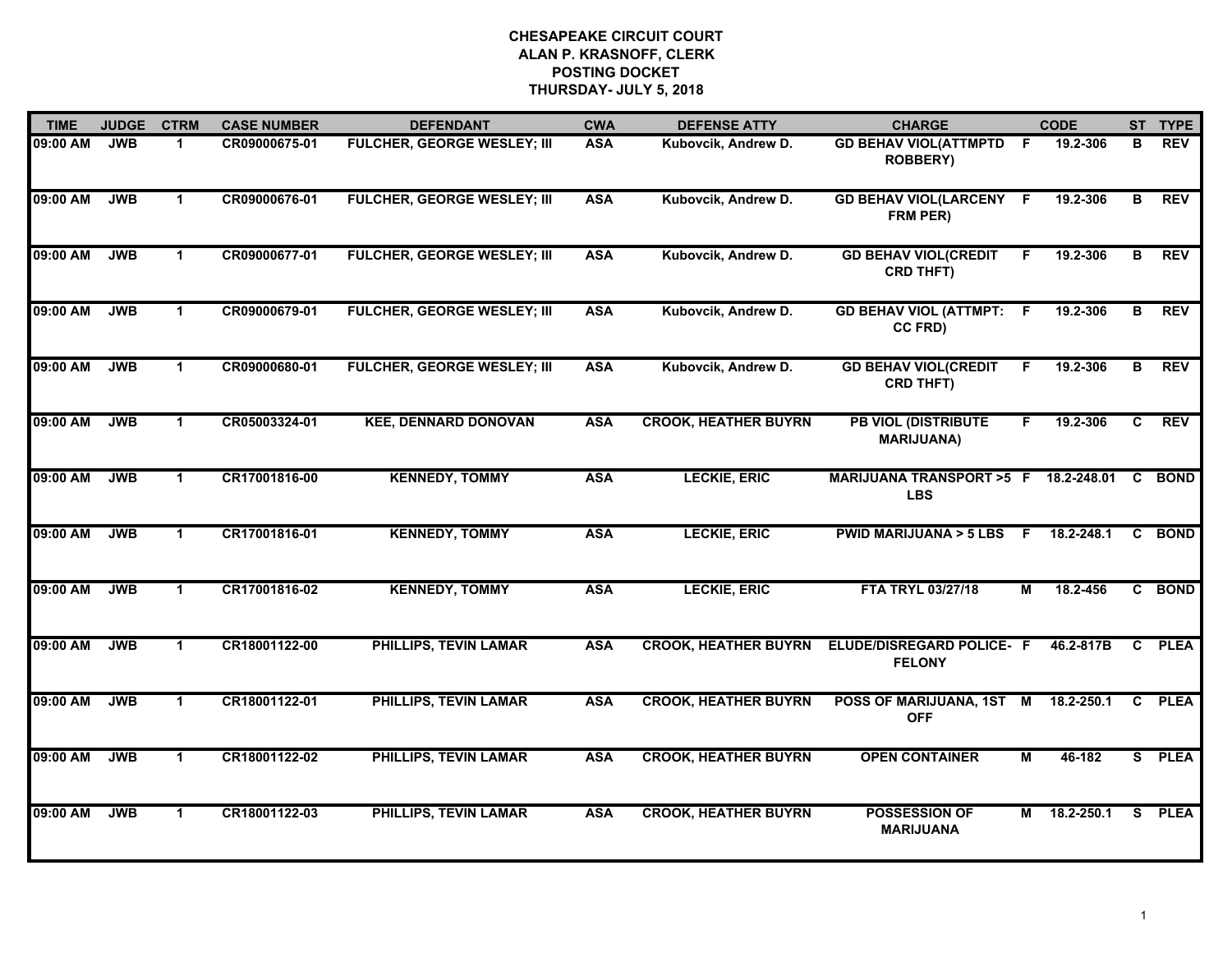| <b>TIME</b> | <b>JUDGE</b> | <b>CTRM</b> | <b>CASE NUMBER</b> | <b>DEFENDANT</b>                   | <b>CWA</b> | <b>DEFENSE ATTY</b>         | <b>CHARGE</b>                                             |                         | <b>CODE</b>  |                         | ST TYPE     |
|-------------|--------------|-------------|--------------------|------------------------------------|------------|-----------------------------|-----------------------------------------------------------|-------------------------|--------------|-------------------------|-------------|
| 09:00 AM    | <b>JWB</b>   | 1           | CR09000675-01      | FULCHER, GEORGE WESLEY; III        | <b>ASA</b> | Kubovcik, Andrew D.         | <b>GD BEHAV VIOL(ATTMPTD F</b><br><b>ROBBERY)</b>         |                         | 19.2-306     | в                       | <b>REV</b>  |
| 09:00 AM    | <b>JWB</b>   | $\mathbf 1$ | CR09000676-01      | <b>FULCHER, GEORGE WESLEY; III</b> | <b>ASA</b> | Kubovcik, Andrew D.         | <b>GD BEHAV VIOL(LARCENY F</b><br>FRM PER)                |                         | 19.2-306     | в                       | <b>REV</b>  |
| 09:00 AM    | <b>JWB</b>   | $\mathbf 1$ | CR09000677-01      | <b>FULCHER, GEORGE WESLEY; III</b> | <b>ASA</b> | Kubovcik, Andrew D.         | <b>GD BEHAV VIOL(CREDIT</b><br><b>CRD THFT)</b>           | E                       | 19.2-306     | $\overline{\mathbf{B}}$ | <b>REV</b>  |
| 09:00 AM    | <b>JWB</b>   | 1           | CR09000679-01      | FULCHER, GEORGE WESLEY; III        | <b>ASA</b> | Kubovcik, Andrew D.         | <b>GD BEHAV VIOL (ATTMPT: F</b><br>CC FRD)                |                         | 19.2-306     | в                       | <b>REV</b>  |
| 09:00 AM    | <b>JWB</b>   | $\mathbf 1$ | CR09000680-01      | <b>FULCHER, GEORGE WESLEY; III</b> | <b>ASA</b> | Kubovcik, Andrew D.         | <b>GD BEHAV VIOL(CREDIT</b><br><b>CRD THFT)</b>           | F.                      | 19.2-306     | В                       | <b>REV</b>  |
| 09:00 AM    | <b>JWB</b>   | $\mathbf 1$ | CR05003324-01      | <b>KEE, DENNARD DONOVAN</b>        | <b>ASA</b> | <b>CROOK, HEATHER BUYRN</b> | <b>PB VIOL (DISTRIBUTE)</b><br><b>MARIJUANA)</b>          | F.                      | 19.2-306     | C                       | <b>REV</b>  |
| 09:00 AM    | <b>JWB</b>   | $\mathbf 1$ | CR17001816-00      | <b>KENNEDY, TOMMY</b>              | <b>ASA</b> | <b>LECKIE, ERIC</b>         | MARIJUANA TRANSPORT >5 F 18.2-248.01 C BOND<br><b>LBS</b> |                         |              |                         |             |
| 09:00 AM    | <b>JWB</b>   | $\mathbf 1$ | CR17001816-01      | <b>KENNEDY, TOMMY</b>              | <b>ASA</b> | <b>LECKIE, ERIC</b>         | PWID MARIJUANA > 5 LBS F                                  |                         | 18.2-248.1   |                         | C BOND      |
| 09:00 AM    | <b>JWB</b>   | $\mathbf 1$ | CR17001816-02      | <b>KENNEDY, TOMMY</b>              | <b>ASA</b> | <b>LECKIE, ERIC</b>         | FTA TRYL 03/27/18                                         | м                       | 18.2-456     |                         | C BOND      |
| 09:00 AM    | <b>JWB</b>   | $\mathbf 1$ | CR18001122-00      | <b>PHILLIPS, TEVIN LAMAR</b>       | <b>ASA</b> | <b>CROOK, HEATHER BUYRN</b> | <b>ELUDE/DISREGARD POLICE- F</b><br><b>FELONY</b>         |                         | 46.2-817B    | $\mathbf{c}$            | <b>PLEA</b> |
| 09:00 AM    | <b>JWB</b>   | $\mathbf 1$ | CR18001122-01      | <b>PHILLIPS, TEVIN LAMAR</b>       | <b>ASA</b> | <b>CROOK, HEATHER BUYRN</b> | POSS OF MARIJUANA, 1ST<br><b>OFF</b>                      | M                       | 18.2-250.1   | $\mathbf{c}$            | <b>PLEA</b> |
| 09:00 AM    | <b>JWB</b>   | $\mathbf 1$ | CR18001122-02      | <b>PHILLIPS, TEVIN LAMAR</b>       | <b>ASA</b> | <b>CROOK, HEATHER BUYRN</b> | <b>OPEN CONTAINER</b>                                     | $\overline{\mathsf{M}}$ | 46-182       |                         | S PLEA      |
| 09:00 AM    | <b>JWB</b>   | $\mathbf 1$ | CR18001122-03      | <b>PHILLIPS, TEVIN LAMAR</b>       | <b>ASA</b> | <b>CROOK, HEATHER BUYRN</b> | <b>POSSESSION OF</b><br><b>MARIJUANA</b>                  |                         | M 18.2-250.1 |                         | S PLEA      |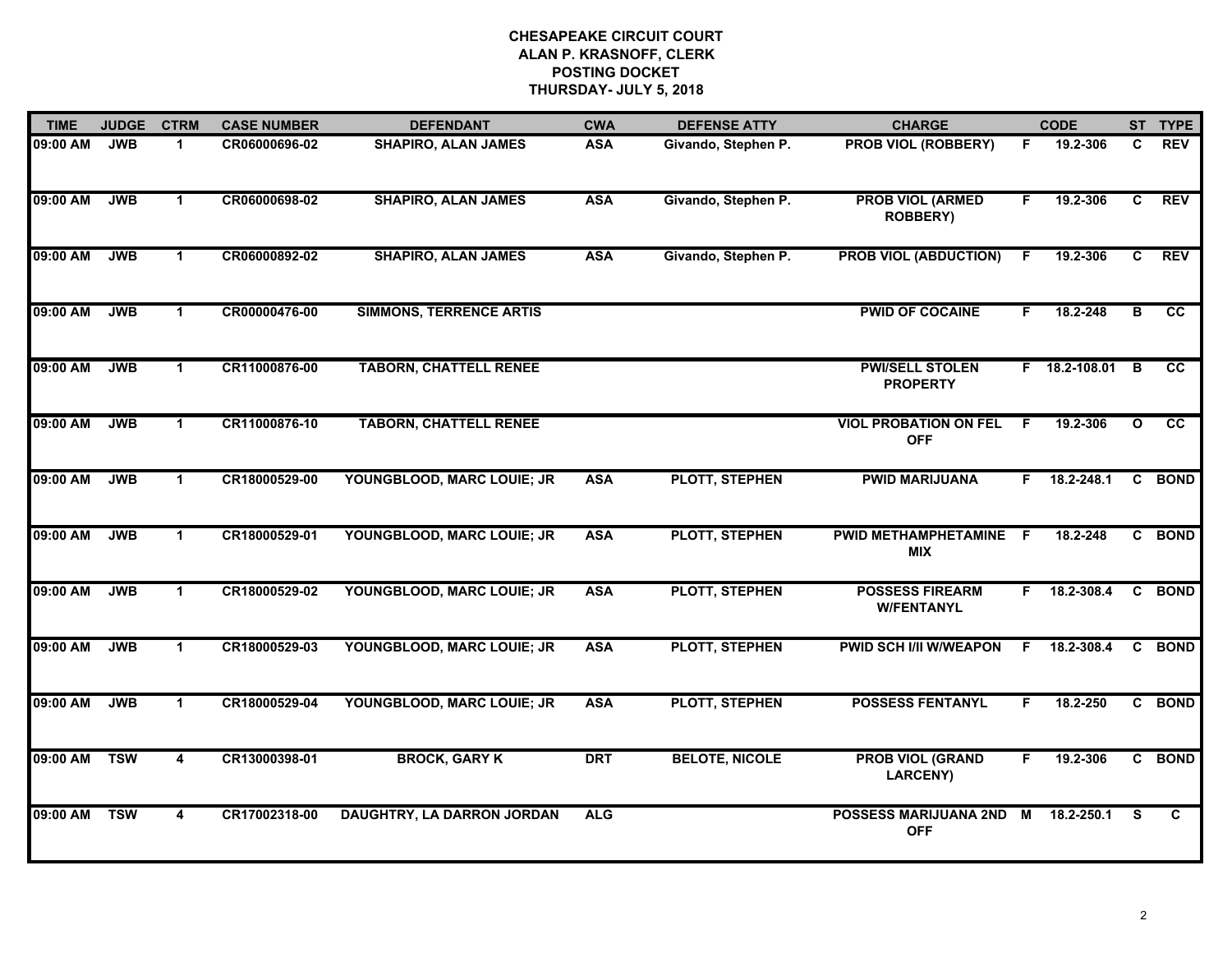| <b>TIME</b> | <b>JUDGE</b> | <b>CTRM</b>             | <b>CASE NUMBER</b> | <b>DEFENDANT</b>               | <b>CWA</b> | <b>DEFENSE ATTY</b>   | <b>CHARGE</b>                               |    | <b>CODE</b>    |              | ST TYPE         |
|-------------|--------------|-------------------------|--------------------|--------------------------------|------------|-----------------------|---------------------------------------------|----|----------------|--------------|-----------------|
| 09:00 AM    | <b>JWB</b>   | 1                       | CR06000696-02      | <b>SHAPIRO, ALAN JAMES</b>     | <b>ASA</b> | Givando, Stephen P.   | PROB VIOL (ROBBERY)                         | F. | 19.2-306       | C            | <b>REV</b>      |
| 09:00 AM    | <b>JWB</b>   | $\mathbf{1}$            | CR06000698-02      | <b>SHAPIRO, ALAN JAMES</b>     | <b>ASA</b> | Givando, Stephen P.   | <b>PROB VIOL (ARMED</b><br><b>ROBBERY)</b>  | F. | 19.2-306       | C            | <b>REV</b>      |
| 09:00 AM    | <b>JWB</b>   | $\mathbf{1}$            | CR06000892-02      | <b>SHAPIRO, ALAN JAMES</b>     | <b>ASA</b> | Givando, Stephen P.   | <b>PROB VIOL (ABDUCTION)</b>                | F. | 19.2-306       | C            | <b>REV</b>      |
| 09:00 AM    | <b>JWB</b>   | 1                       | CR00000476-00      | <b>SIMMONS, TERRENCE ARTIS</b> |            |                       | <b>PWID OF COCAINE</b>                      | F. | 18.2-248       | в            | <b>CC</b>       |
| 09:00 AM    | <b>JWB</b>   | 1                       | CR11000876-00      | <b>TABORN, CHATTELL RENEE</b>  |            |                       | <b>PWI/SELL STOLEN</b><br><b>PROPERTY</b>   |    | F 18.2-108.01  | B            | $\overline{cc}$ |
| 09:00 AM    | <b>JWB</b>   | $\mathbf 1$             | CR11000876-10      | <b>TABORN, CHATTELL RENEE</b>  |            |                       | <b>VIOL PROBATION ON FEL</b><br><b>OFF</b>  | -F | 19.2-306       | $\mathbf{o}$ | cc              |
| 09:00 AM    | <b>JWB</b>   | $\mathbf{1}$            | CR18000529-00      | YOUNGBLOOD, MARC LOUIE; JR     | <b>ASA</b> | <b>PLOTT, STEPHEN</b> | <b>PWID MARIJUANA</b>                       |    | $F$ 18.2-248.1 | C            | <b>BOND</b>     |
| 09:00 AM    | <b>JWB</b>   | $\blacktriangleleft$    | CR18000529-01      | YOUNGBLOOD, MARC LOUIE; JR     | <b>ASA</b> | PLOTT, STEPHEN        | PWID METHAMPHETAMINE F<br><b>MIX</b>        |    | 18.2-248       |              | C BOND          |
| 09:00 AM    | <b>JWB</b>   | 1                       | CR18000529-02      | YOUNGBLOOD, MARC LOUIE; JR     | <b>ASA</b> | PLOTT, STEPHEN        | <b>POSSESS FIREARM</b><br><b>W/FENTANYL</b> | F. | 18.2-308.4     | C            | <b>BOND</b>     |
| 09:00 AM    | <b>JWB</b>   | $\blacktriangleleft$    | CR18000529-03      | YOUNGBLOOD, MARC LOUIE; JR     | <b>ASA</b> | <b>PLOTT, STEPHEN</b> | <b>PWID SCH I/II W/WEAPON</b>               | E  | 18.2-308.4     | $\mathbf{c}$ | <b>BOND</b>     |
| 09:00 AM    | <b>JWB</b>   | $\mathbf{1}$            | CR18000529-04      | YOUNGBLOOD, MARC LOUIE; JR     | <b>ASA</b> | <b>PLOTT, STEPHEN</b> | <b>POSSESS FENTANYL</b>                     | F. | 18.2-250       |              | C BOND          |
| 09:00 AM    | <b>TSW</b>   | $\overline{\mathbf{4}}$ | CR13000398-01      | <b>BROCK, GARY K</b>           | <b>DRT</b> | <b>BELOTE, NICOLE</b> | <b>PROB VIOL (GRAND</b><br><b>LARCENY)</b>  | F. | 19.2-306       |              | C BOND          |
| 09:00 AM    | <b>TSW</b>   | 4                       | CR17002318-00      | DAUGHTRY, LA DARRON JORDAN     | <b>ALG</b> |                       | POSSESS MARIJUANA 2ND M<br><b>OFF</b>       |    | 18.2-250.1     | S.           | C               |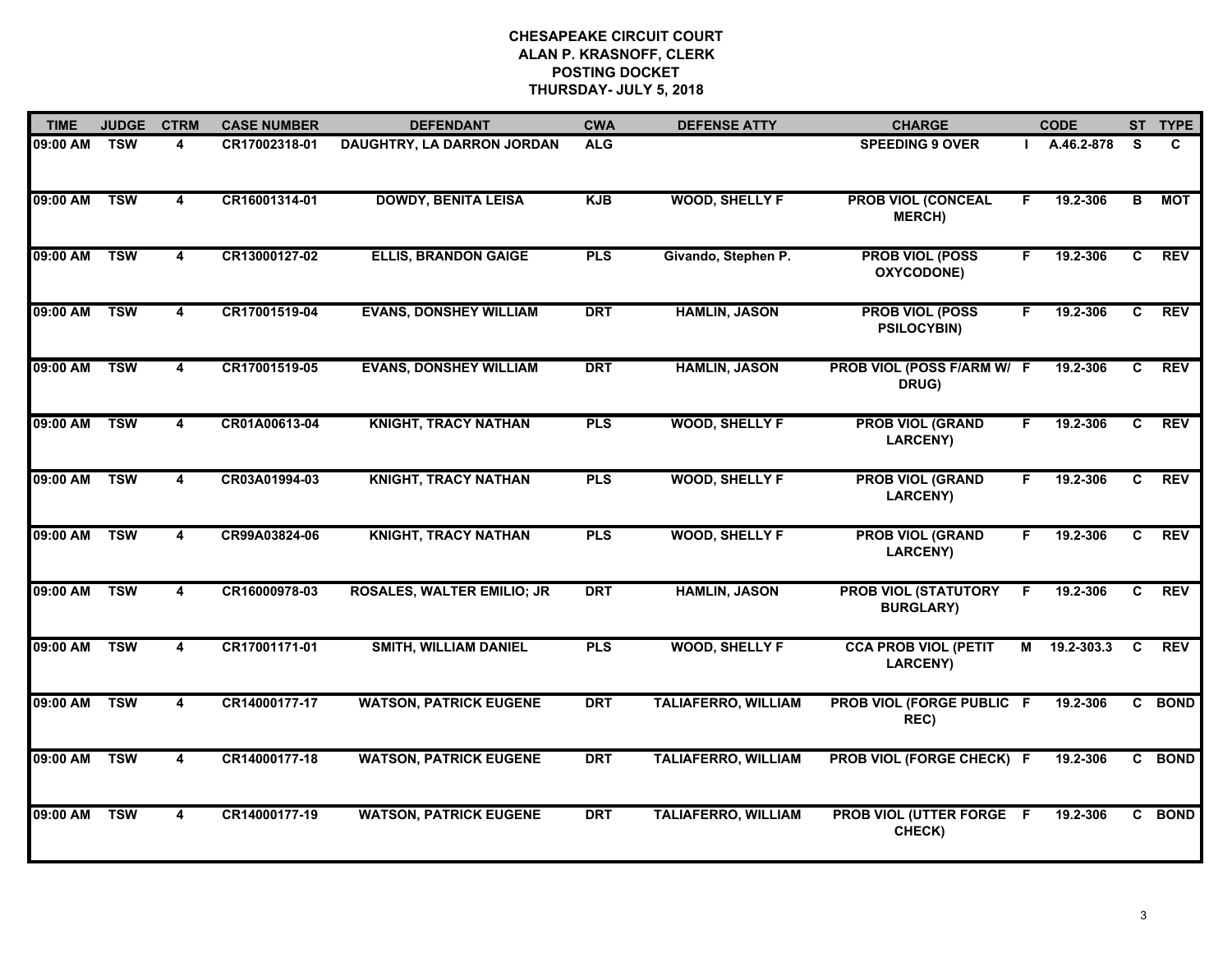| <b>TIME</b>  | <b>JUDGE</b> | <b>CTRM</b>             | <b>CASE NUMBER</b> | <b>DEFENDANT</b>                  | <b>CWA</b> | <b>DEFENSE ATTY</b>        | <b>CHARGE</b>                                   |    | <b>CODE</b> |                | ST TYPE     |
|--------------|--------------|-------------------------|--------------------|-----------------------------------|------------|----------------------------|-------------------------------------------------|----|-------------|----------------|-------------|
| 09:00 AM     | <b>TSW</b>   | 4                       | CR17002318-01      | DAUGHTRY, LA DARRON JORDAN        | <b>ALG</b> |                            | <b>SPEEDING 9 OVER</b>                          |    | A.46.2-878  | <b>S</b>       | C           |
| 09:00 AM     | <b>TSW</b>   | 4                       | CR16001314-01      | <b>DOWDY, BENITA LEISA</b>        | <b>KJB</b> | <b>WOOD, SHELLY F</b>      | <b>PROB VIOL (CONCEAL</b><br><b>MERCH)</b>      | F  | 19.2-306    | в              | MOT         |
| 09:00 AM     | <b>TSW</b>   | 4                       | CR13000127-02      | <b>ELLIS, BRANDON GAIGE</b>       | <b>PLS</b> | Givando, Stephen P.        | <b>PROB VIOL (POSS</b><br>OXYCODONE)            | F. | 19.2-306    | $\overline{c}$ | <b>REV</b>  |
| 09:00 AM     | <b>TSW</b>   | 4                       | CR17001519-04      | <b>EVANS, DONSHEY WILLIAM</b>     | <b>DRT</b> | <b>HAMLIN, JASON</b>       | <b>PROB VIOL (POSS</b><br><b>PSILOCYBIN)</b>    | F. | 19.2-306    | C.             | <b>REV</b>  |
| 09:00 AM     | <b>TSW</b>   | $\overline{\mathbf{4}}$ | CR17001519-05      | <b>EVANS, DONSHEY WILLIAM</b>     | <b>DRT</b> | <b>HAMLIN, JASON</b>       | PROB VIOL (POSS F/ARM W/ F<br>DRUG)             |    | 19.2-306    | C              | <b>REV</b>  |
| 09:00 AM     | <b>TSW</b>   | 4                       | CR01A00613-04      | <b>KNIGHT, TRACY NATHAN</b>       | <b>PLS</b> | <b>WOOD, SHELLY F</b>      | <b>PROB VIOL (GRAND</b><br>LARCENY)             | F. | 19.2-306    | C.             | <b>REV</b>  |
| 09:00 AM TSW |              | $\overline{\mathbf{4}}$ | CR03A01994-03      | <b>KNIGHT, TRACY NATHAN</b>       | <b>PLS</b> | <b>WOOD, SHELLY F</b>      | <b>PROB VIOL (GRAND</b><br>LARCENY)             | F. | 19.2-306    | C              | <b>REV</b>  |
| 09:00 AM     | <b>TSW</b>   | 4                       | CR99A03824-06      | <b>KNIGHT, TRACY NATHAN</b>       | <b>PLS</b> | <b>WOOD, SHELLY F</b>      | <b>PROB VIOL (GRAND</b><br>LARCENY)             | F. | 19.2-306    | C.             | <b>REV</b>  |
| 09:00 AM     | <b>TSW</b>   | 4                       | CR16000978-03      | <b>ROSALES, WALTER EMILIO; JR</b> | <b>DRT</b> | <b>HAMLIN, JASON</b>       | <b>PROB VIOL (STATUTORY</b><br><b>BURGLARY)</b> | F  | 19.2-306    | C              | <b>REV</b>  |
| 09:00 AM     | <b>TSW</b>   | $\overline{\mathbf{4}}$ | CR17001171-01      | <b>SMITH, WILLIAM DANIEL</b>      | <b>PLS</b> | <b>WOOD, SHELLY F</b>      | <b>CCA PROB VIOL (PETIT</b><br>LARCENY)         | М  | 19.2-303.3  | C              | <b>REV</b>  |
| 09:00 AM     | <b>TSW</b>   | 4                       | CR14000177-17      | <b>WATSON, PATRICK EUGENE</b>     | <b>DRT</b> | <b>TALIAFERRO, WILLIAM</b> | PROB VIOL (FORGE PUBLIC F<br>REC)               |    | 19.2-306    |                | C BOND      |
| 09:00 AM     | <b>TSW</b>   | 4                       | CR14000177-18      | <b>WATSON, PATRICK EUGENE</b>     | <b>DRT</b> | <b>TALIAFERRO, WILLIAM</b> | PROB VIOL (FORGE CHECK) F                       |    | 19.2-306    |                | C BOND      |
| 09:00 AM     | <b>TSW</b>   | 4                       | CR14000177-19      | <b>WATSON, PATRICK EUGENE</b>     | <b>DRT</b> | <b>TALIAFERRO, WILLIAM</b> | <b>PROB VIOL (UTTER FORGE F</b><br>CHECK)       |    | 19.2-306    | $\mathbf{c}$   | <b>BOND</b> |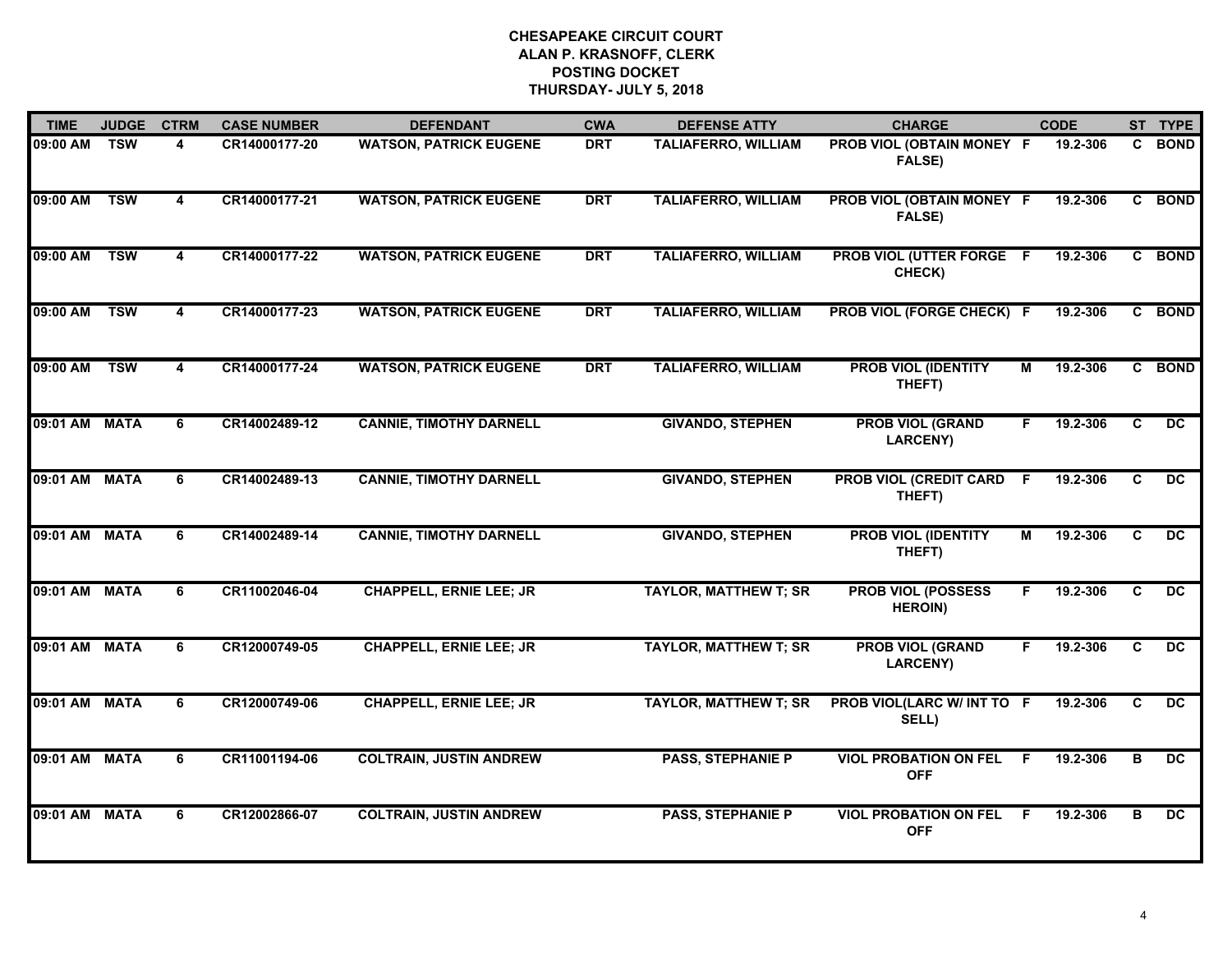| <b>TIME</b>   | <b>JUDGE</b> | <b>CTRM</b>             | <b>CASE NUMBER</b> | <b>DEFENDANT</b>               | <b>CWA</b> | <b>DEFENSE ATTY</b>          | <b>CHARGE</b>                               |                | <b>CODE</b> |                | ST TYPE         |
|---------------|--------------|-------------------------|--------------------|--------------------------------|------------|------------------------------|---------------------------------------------|----------------|-------------|----------------|-----------------|
| 09:00 AM      | <b>TSW</b>   | 4                       | CR14000177-20      | <b>WATSON, PATRICK EUGENE</b>  | <b>DRT</b> | <b>TALIAFERRO, WILLIAM</b>   | PROB VIOL (OBTAIN MONEY F<br><b>FALSE)</b>  |                | 19.2-306    | C              | <b>BOND</b>     |
| 09:00 AM      | <b>TSW</b>   | $\overline{\mathbf{4}}$ | CR14000177-21      | <b>WATSON, PATRICK EUGENE</b>  | <b>DRT</b> | <b>TALIAFERRO, WILLIAM</b>   | PROB VIOL (OBTAIN MONEY F<br>FALSE)         |                | 19.2-306    |                | C BOND          |
| 09:00 AM      | <b>TSW</b>   | $\overline{\mathbf{4}}$ | CR14000177-22      | <b>WATSON, PATRICK EUGENE</b>  | <b>DRT</b> | <b>TALIAFERRO, WILLIAM</b>   | <b>PROB VIOL (UTTER FORGE F</b><br>CHECK)   |                | 19.2-306    |                | C BOND          |
| 09:00 AM      | <b>TSW</b>   | 4                       | CR14000177-23      | <b>WATSON, PATRICK EUGENE</b>  | <b>DRT</b> | <b>TALIAFERRO, WILLIAM</b>   | PROB VIOL (FORGE CHECK) F                   |                | 19.2-306    | C.             | <b>BOND</b>     |
| 09:00 AM      | <b>TSW</b>   | 4                       | CR14000177-24      | <b>WATSON, PATRICK EUGENE</b>  | <b>DRT</b> | <b>TALIAFERRO, WILLIAM</b>   | <b>PROB VIOL (IDENTITY</b><br>THEFT)        | м              | 19.2-306    |                | C BOND          |
| 09:01 AM MATA |              | 6                       | CR14002489-12      | <b>CANNIE, TIMOTHY DARNELL</b> |            | <b>GIVANDO, STEPHEN</b>      | <b>PROB VIOL (GRAND</b><br><b>LARCENY)</b>  | F.             | 19.2-306    | C              | DC.             |
| 09:01 AM MATA |              | 6                       | CR14002489-13      | <b>CANNIE, TIMOTHY DARNELL</b> |            | <b>GIVANDO, STEPHEN</b>      | <b>PROB VIOL (CREDIT CARD</b><br>THEFT)     | $\overline{F}$ | 19.2-306    | C              | DC              |
| 09:01 AM MATA |              | 6                       | CR14002489-14      | <b>CANNIE, TIMOTHY DARNELL</b> |            | <b>GIVANDO, STEPHEN</b>      | <b>PROB VIOL (IDENTITY</b><br>THEFT)        | М              | 19.2-306    | C              | DC.             |
| 09:01 AM MATA |              | 6                       | CR11002046-04      | <b>CHAPPELL, ERNIE LEE; JR</b> |            | <b>TAYLOR, MATTHEW T; SR</b> | <b>PROB VIOL (POSSESS</b><br><b>HEROIN)</b> |                | 19.2-306    | C              | $\overline{DC}$ |
| 09:01 AM MATA |              | 6                       | CR12000749-05      | <b>CHAPPELL, ERNIE LEE; JR</b> |            | <b>TAYLOR, MATTHEW T; SR</b> | <b>PROB VIOL (GRAND</b><br><b>LARCENY)</b>  | F.             | 19.2-306    | C              | $\overline{DC}$ |
| 09:01 AM MATA |              | 6                       | CR12000749-06      | <b>CHAPPELL, ERNIE LEE; JR</b> |            | <b>TAYLOR, MATTHEW T; SR</b> | PROB VIOL(LARC W/ INT TO F<br>SELL)         |                | 19.2-306    | C              | $\overline{DC}$ |
| 09:01 AM MATA |              | 6                       | CR11001194-06      | <b>COLTRAIN, JUSTIN ANDREW</b> |            | <b>PASS, STEPHANIE P</b>     | <b>VIOL PROBATION ON FEL</b><br><b>OFF</b>  | F.             | 19.2-306    | $\overline{B}$ | DC              |
| 09:01 AM MATA |              | 6                       | CR12002866-07      | <b>COLTRAIN, JUSTIN ANDREW</b> |            | <b>PASS, STEPHANIE P</b>     | <b>VIOL PROBATION ON FEL</b><br><b>OFF</b>  | -F             | 19.2-306    | в              | <b>DC</b>       |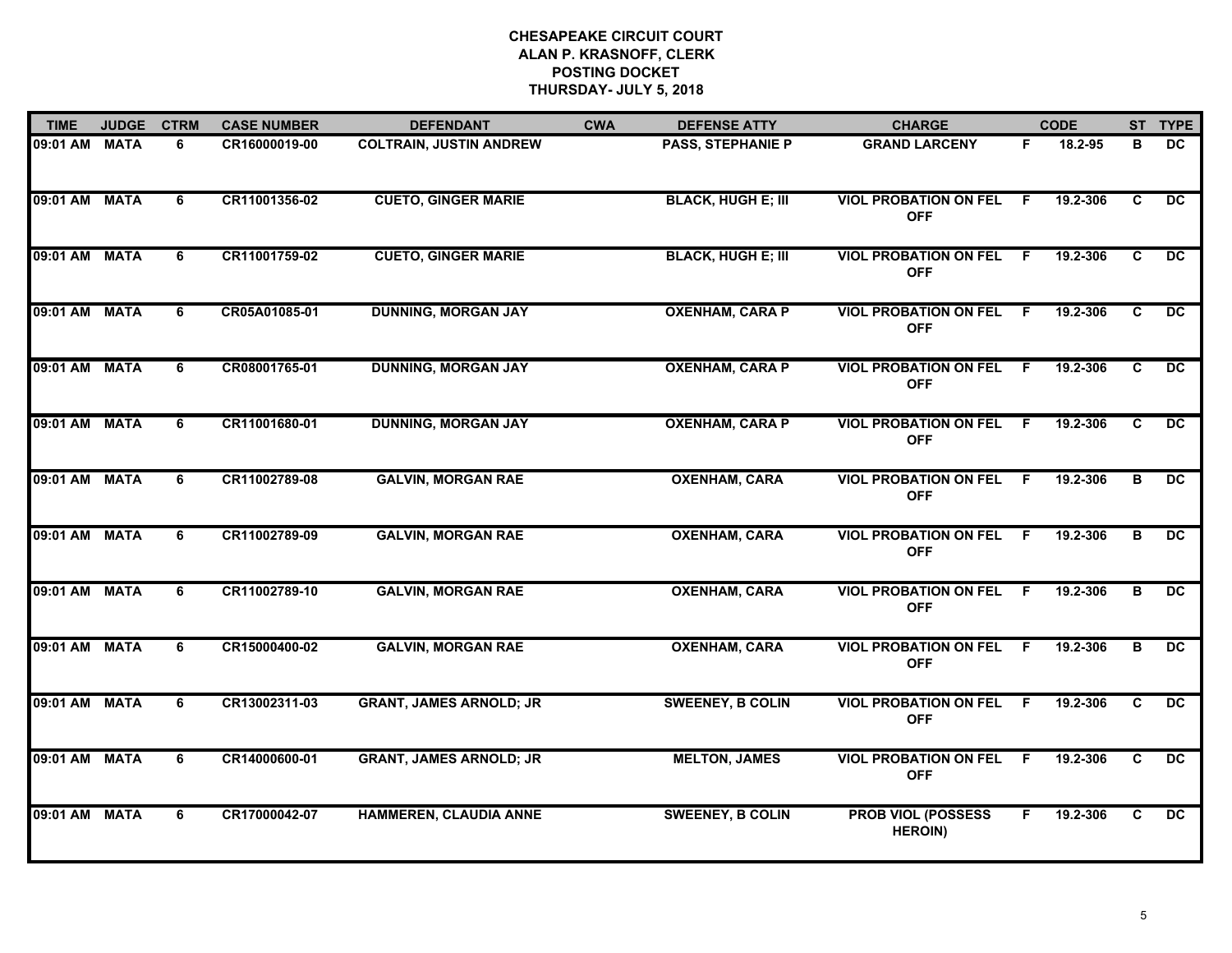| <b>TIME</b>   | <b>JUDGE</b> | <b>CTRM</b> | <b>CASE NUMBER</b> | <b>DEFENDANT</b>               | <b>CWA</b> | <b>DEFENSE ATTY</b>       | <b>CHARGE</b>                               |     | <b>CODE</b> |    | ST TYPE         |
|---------------|--------------|-------------|--------------------|--------------------------------|------------|---------------------------|---------------------------------------------|-----|-------------|----|-----------------|
| 09:01 AM MATA |              | 6           | CR16000019-00      | <b>COLTRAIN, JUSTIN ANDREW</b> |            | <b>PASS, STEPHANIE P</b>  | <b>GRAND LARCENY</b>                        | F.  | 18.2-95     | в  | DC              |
| 09:01 AM MATA |              | 6           | CR11001356-02      | <b>CUETO, GINGER MARIE</b>     |            | <b>BLACK, HUGH E; III</b> | <b>VIOL PROBATION ON FEL</b><br><b>OFF</b>  | - F | 19.2-306    | C  | DC.             |
| 09:01 AM MATA |              | 6           | CR11001759-02      | <b>CUETO, GINGER MARIE</b>     |            | <b>BLACK, HUGH E; III</b> | <b>VIOL PROBATION ON FEL</b><br><b>OFF</b>  | F.  | 19.2-306    | C  | DC              |
| 09:01 AM MATA |              | 6           | CR05A01085-01      | <b>DUNNING, MORGAN JAY</b>     |            | <b>OXENHAM, CARA P</b>    | <b>VIOL PROBATION ON FEL</b><br><b>OFF</b>  | -F  | 19.2-306    | C. | DC.             |
| 09:01 AM MATA |              | 6           | CR08001765-01      | <b>DUNNING, MORGAN JAY</b>     |            | <b>OXENHAM, CARA P</b>    | <b>VIOL PROBATION ON FEL</b><br><b>OFF</b>  | -F  | 19.2-306    | C  | $\overline{DC}$ |
| 09:01 AM MATA |              | 6           | CR11001680-01      | <b>DUNNING, MORGAN JAY</b>     |            | <b>OXENHAM, CARA P</b>    | <b>VIOL PROBATION ON FEL</b><br><b>OFF</b>  | - F | 19.2-306    | C  | DC.             |
| 09:01 AM MATA |              | 6           | CR11002789-08      | <b>GALVIN, MORGAN RAE</b>      |            | <b>OXENHAM, CARA</b>      | <b>VIOL PROBATION ON FEL</b><br><b>OFF</b>  | - F | 19.2-306    | в  | DC              |
| 09:01 AM MATA |              | 6           | CR11002789-09      | <b>GALVIN, MORGAN RAE</b>      |            | <b>OXENHAM, CARA</b>      | <b>VIOL PROBATION ON FEL</b><br><b>OFF</b>  | -F  | 19.2-306    | в  | $\overline{DC}$ |
| 09:01 AM      | <b>MATA</b>  | 6           | CR11002789-10      | <b>GALVIN, MORGAN RAE</b>      |            | <b>OXENHAM, CARA</b>      | <b>VIOL PROBATION ON FEL</b><br><b>OFF</b>  | -F  | 19.2-306    | в  | DC.             |
| 09:01 AM MATA |              | 6           | CR15000400-02      | <b>GALVIN, MORGAN RAE</b>      |            | <b>OXENHAM, CARA</b>      | <b>VIOL PROBATION ON FEL</b><br><b>OFF</b>  | F.  | 19.2-306    | в  | $\overline{DC}$ |
| 09:01 AM MATA |              | 6           | CR13002311-03      | <b>GRANT, JAMES ARNOLD; JR</b> |            | <b>SWEENEY, B COLIN</b>   | <b>VIOL PROBATION ON FEL</b><br><b>OFF</b>  | - F | 19.2-306    | C  | $\overline{DC}$ |
| 09:01 AM      | <b>MATA</b>  | 6           | CR14000600-01      | <b>GRANT, JAMES ARNOLD; JR</b> |            | <b>MELTON, JAMES</b>      | <b>VIOL PROBATION ON FEL</b><br><b>OFF</b>  | -F  | 19.2-306    | C  | $\overline{DC}$ |
| 09:01 AM MATA |              | 6           | CR17000042-07      | <b>HAMMEREN, CLAUDIA ANNE</b>  |            | <b>SWEENEY, B COLIN</b>   | <b>PROB VIOL (POSSESS</b><br><b>HEROIN)</b> |     | 19.2-306    | C  | DC              |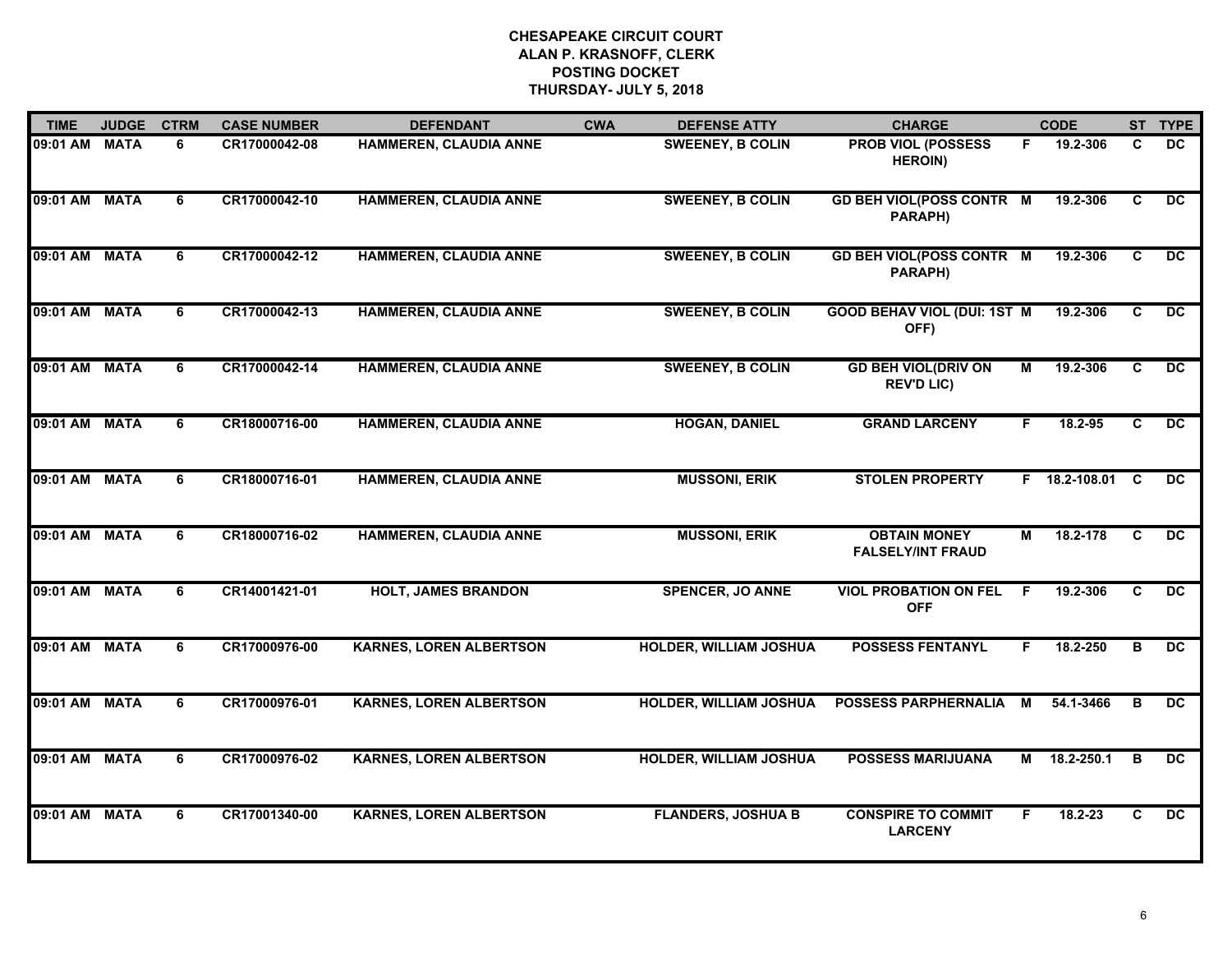| <b>TIME</b>   | <b>JUDGE</b> | <b>CTRM</b> | <b>CASE NUMBER</b> | <b>DEFENDANT</b>               | <b>CWA</b> | <b>DEFENSE ATTY</b>           | <b>CHARGE</b>                                   |    | <b>CODE</b>     |                | ST TYPE         |
|---------------|--------------|-------------|--------------------|--------------------------------|------------|-------------------------------|-------------------------------------------------|----|-----------------|----------------|-----------------|
| 09:01 AM MATA |              | 6           | CR17000042-08      | HAMMEREN, CLAUDIA ANNE         |            | <b>SWEENEY, B COLIN</b>       | <b>PROB VIOL (POSSESS</b><br><b>HEROIN)</b>     | F. | 19.2-306        | C              | DC              |
| 09:01 AM MATA |              | 6           | CR17000042-10      | <b>HAMMEREN, CLAUDIA ANNE</b>  |            | <b>SWEENEY, B COLIN</b>       | <b>GD BEH VIOL(POSS CONTR M</b><br>PARAPH)      |    | 19.2-306        | C              | DC.             |
| 09:01 AM      | <b>MATA</b>  | 6           | CR17000042-12      | <b>HAMMEREN, CLAUDIA ANNE</b>  |            | <b>SWEENEY, B COLIN</b>       | <b>GD BEH VIOL(POSS CONTR M</b><br>PARAPH)      |    | 19.2-306        | $\overline{c}$ | DC              |
| 09:01 AM MATA |              | 6           | CR17000042-13      | <b>HAMMEREN, CLAUDIA ANNE</b>  |            | <b>SWEENEY, B COLIN</b>       | <b>GOOD BEHAV VIOL (DUI: 1ST M</b><br>OFF)      |    | 19.2-306        | C              | DC.             |
| 09:01 AM      | <b>MATA</b>  | 6           | CR17000042-14      | <b>HAMMEREN, CLAUDIA ANNE</b>  |            | <b>SWEENEY, B COLIN</b>       | <b>GD BEH VIOL(DRIV ON</b><br><b>REV'D LIC)</b> | М  | 19.2-306        | C              | $\overline{DC}$ |
| 09:01 AM MATA |              | 6           | CR18000716-00      | <b>HAMMEREN, CLAUDIA ANNE</b>  |            | <b>HOGAN, DANIEL</b>          | <b>GRAND LARCENY</b>                            | F. | 18.2-95         | C              | $\overline{DC}$ |
| 09:01 AM MATA |              | 6           | CR18000716-01      | <b>HAMMEREN, CLAUDIA ANNE</b>  |            | <b>MUSSONI, ERIK</b>          | <b>STOLEN PROPERTY</b>                          |    | F 18.2-108.01 C |                | DC.             |
| 09:01 AM MATA |              | 6           | CR18000716-02      | <b>HAMMEREN, CLAUDIA ANNE</b>  |            | <b>MUSSONI, ERIK</b>          | <b>OBTAIN MONEY</b><br><b>FALSELY/INT FRAUD</b> | М  | 18.2-178        | C              | DC              |
| 09:01 AM MATA |              | 6           | CR14001421-01      | <b>HOLT, JAMES BRANDON</b>     |            | <b>SPENCER, JO ANNE</b>       | <b>VIOL PROBATION ON FEL</b><br><b>OFF</b>      | F  | 19.2-306        | C              | DC              |
| 09:01 AM MATA |              | 6           | CR17000976-00      | <b>KARNES, LOREN ALBERTSON</b> |            | <b>HOLDER, WILLIAM JOSHUA</b> | <b>POSSESS FENTANYL</b>                         | F  | 18.2-250        | в              | DC              |
| 09:01 AM MATA |              | 6           | CR17000976-01      | <b>KARNES, LOREN ALBERTSON</b> |            | <b>HOLDER, WILLIAM JOSHUA</b> | <b>POSSESS PARPHERNALIA</b>                     | М  | 54.1-3466       | B              | DC              |
| 09:01 AM MATA |              | 6           | CR17000976-02      | <b>KARNES, LOREN ALBERTSON</b> |            | <b>HOLDER, WILLIAM JOSHUA</b> | <b>POSSESS MARIJUANA</b>                        | М  | 18.2-250.1      | B              | $\overline{DC}$ |
| 09:01 AM MATA |              | 6           | CR17001340-00      | <b>KARNES, LOREN ALBERTSON</b> |            | <b>FLANDERS, JOSHUA B</b>     | <b>CONSPIRE TO COMMIT</b><br><b>LARCENY</b>     | F. | $18.2 - 23$     | C              | DC              |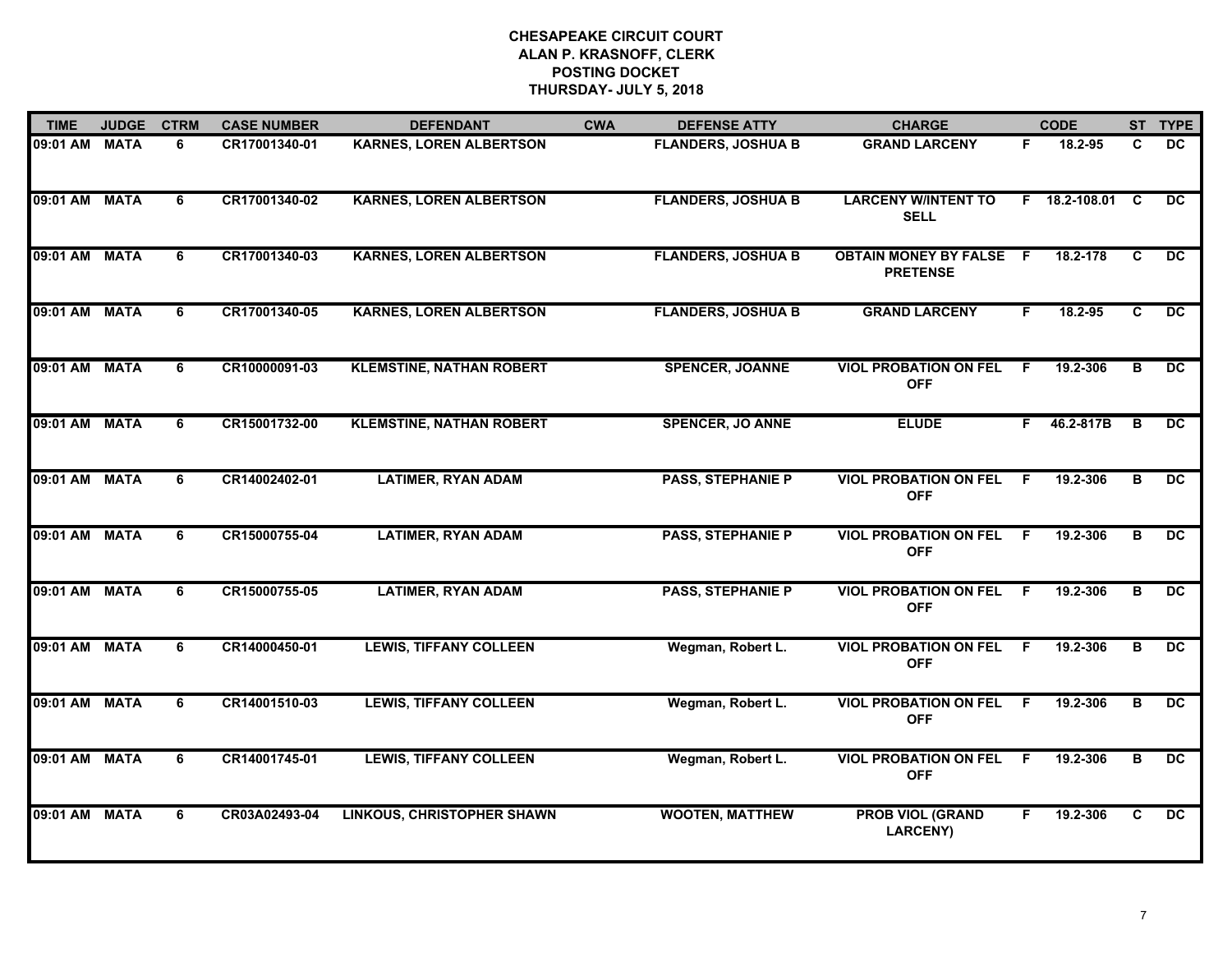| <b>TIME</b>   | <b>JUDGE</b> | <b>CTRM</b> | <b>CASE NUMBER</b> | <b>DEFENDANT</b>                  | <b>CWA</b> | <b>DEFENSE ATTY</b>       | <b>CHARGE</b>                                   |     | <b>CODE</b>     |   | ST TYPE         |
|---------------|--------------|-------------|--------------------|-----------------------------------|------------|---------------------------|-------------------------------------------------|-----|-----------------|---|-----------------|
| 09:01 AM MATA |              | 6           | CR17001340-01      | <b>KARNES, LOREN ALBERTSON</b>    |            | <b>FLANDERS, JOSHUA B</b> | <b>GRAND LARCENY</b>                            | F.  | 18.2-95         | C | DC              |
| 09:01 AM MATA |              | 6           | CR17001340-02      | <b>KARNES, LOREN ALBERTSON</b>    |            | <b>FLANDERS, JOSHUA B</b> | <b>LARCENY W/INTENT TO</b><br><b>SELL</b>       |     | F 18.2-108.01 C |   | $\overline{DC}$ |
| 09:01 AM      | <b>MATA</b>  | 6           | CR17001340-03      | <b>KARNES, LOREN ALBERTSON</b>    |            | <b>FLANDERS, JOSHUA B</b> | <b>OBTAIN MONEY BY FALSE</b><br><b>PRETENSE</b> | - F | 18.2-178        | C | DC              |
| 09:01 AM      | <b>MATA</b>  | 6           | CR17001340-05      | <b>KARNES, LOREN ALBERTSON</b>    |            | <b>FLANDERS, JOSHUA B</b> | <b>GRAND LARCENY</b>                            | F   | 18.2-95         | C | DC.             |
| 09:01 AM MATA |              | 6           | CR10000091-03      | <b>KLEMSTINE, NATHAN ROBERT</b>   |            | <b>SPENCER, JOANNE</b>    | <b>VIOL PROBATION ON FEL</b><br><b>OFF</b>      | F.  | 19.2-306        | в | DC              |
| 09:01 AM MATA |              | 6           | CR15001732-00      | <b>KLEMSTINE, NATHAN ROBERT</b>   |            | <b>SPENCER, JO ANNE</b>   | <b>ELUDE</b>                                    | F.  | 46.2-817B       | в | DC.             |
| 09:01 AM MATA |              | 6           | CR14002402-01      | <b>LATIMER, RYAN ADAM</b>         |            | <b>PASS, STEPHANIE P</b>  | <b>VIOL PROBATION ON FEL</b><br><b>OFF</b>      | F.  | 19.2-306        | B | DC              |
| 09:01 AM MATA |              | 6           | CR15000755-04      | <b>LATIMER, RYAN ADAM</b>         |            | <b>PASS, STEPHANIE P</b>  | <b>VIOL PROBATION ON FEL</b><br><b>OFF</b>      | -F  | 19.2-306        | в | DC.             |
| 09:01 AM MATA |              | 6           | CR15000755-05      | <b>LATIMER, RYAN ADAM</b>         |            | <b>PASS, STEPHANIE P</b>  | <b>VIOL PROBATION ON FEL</b><br><b>OFF</b>      | -F  | 19.2-306        | в | DC              |
| 09:01 AM MATA |              | 6           | CR14000450-01      | <b>LEWIS, TIFFANY COLLEEN</b>     |            | Wegman, Robert L.         | <b>VIOL PROBATION ON FEL</b><br><b>OFF</b>      | -F  | 19.2-306        | в | $\overline{DC}$ |
| 09:01 AM MATA |              | 6           | CR14001510-03      | <b>LEWIS, TIFFANY COLLEEN</b>     |            | Wegman, Robert L.         | <b>VIOL PROBATION ON FEL</b><br><b>OFF</b>      | F.  | 19.2-306        | в | DC              |
| 09:01 AM MATA |              | 6           | CR14001745-01      | <b>LEWIS, TIFFANY COLLEEN</b>     |            | Wegman, Robert L.         | <b>VIOL PROBATION ON FEL</b><br><b>OFF</b>      | E   | 19.2-306        | в | DC              |
| 09:01 AM MATA |              | 6           | CR03A02493-04      | <b>LINKOUS, CHRISTOPHER SHAWN</b> |            | <b>WOOTEN, MATTHEW</b>    | <b>PROB VIOL (GRAND</b><br>LARCENY)             | F.  | 19.2-306        | C | <b>DC</b>       |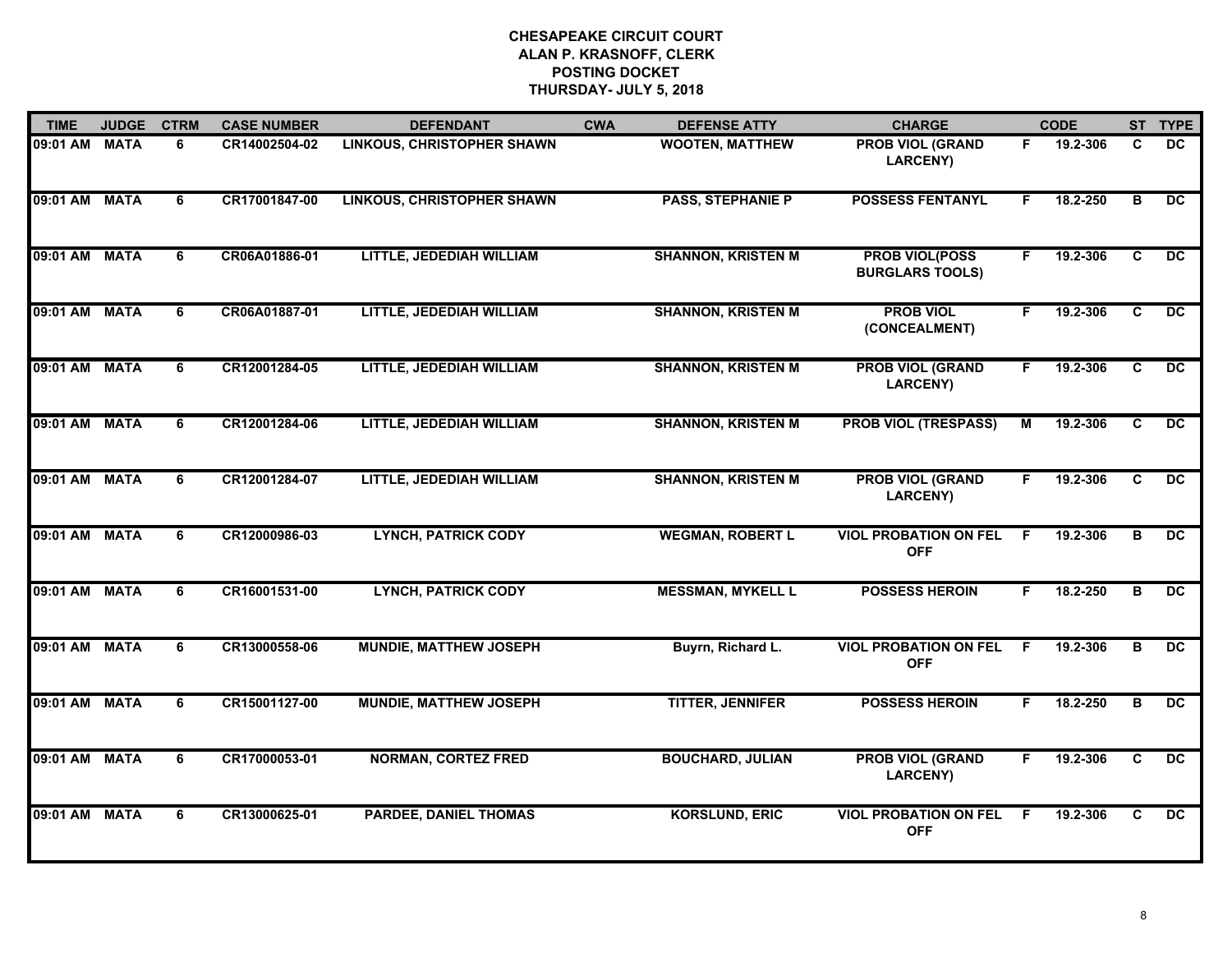| <b>TIME</b>   | <b>JUDGE</b> | <b>CTRM</b> | <b>CASE NUMBER</b> | <b>DEFENDANT</b>                  | <b>CWA</b> | <b>DEFENSE ATTY</b>       | <b>CHARGE</b>                                   |    | <b>CODE</b> | <b>ST</b>               | <b>TYPE</b>     |
|---------------|--------------|-------------|--------------------|-----------------------------------|------------|---------------------------|-------------------------------------------------|----|-------------|-------------------------|-----------------|
| 09:01 AM MATA |              | 6           | CR14002504-02      | <b>LINKOUS, CHRISTOPHER SHAWN</b> |            | <b>WOOTEN, MATTHEW</b>    | <b>PROB VIOL (GRAND</b><br><b>LARCENY)</b>      | F. | 19.2-306    | C                       | <b>DC</b>       |
| 09:01 AM MATA |              | 6           | CR17001847-00      | <b>LINKOUS, CHRISTOPHER SHAWN</b> |            | <b>PASS, STEPHANIE P</b>  | <b>POSSESS FENTANYL</b>                         | F. | 18.2-250    | $\overline{\mathbf{B}}$ | $\overline{DC}$ |
| 09:01 AM      | <b>MATA</b>  | 6           | CR06A01886-01      | LITTLE, JEDEDIAH WILLIAM          |            | <b>SHANNON, KRISTEN M</b> | <b>PROB VIOL(POSS</b><br><b>BURGLARS TOOLS)</b> | F. | 19.2-306    | $\overline{c}$          | DC              |
| 09:01 AM MATA |              | 6           | CR06A01887-01      | LITTLE, JEDEDIAH WILLIAM          |            | <b>SHANNON, KRISTEN M</b> | <b>PROB VIOL</b><br>(CONCEALMENT)               | F. | 19.2-306    | C                       | $\overline{DC}$ |
| 09:01 AM MATA |              | 6           | CR12001284-05      | LITTLE, JEDEDIAH WILLIAM          |            | <b>SHANNON, KRISTEN M</b> | <b>PROB VIOL (GRAND</b><br><b>LARCENY)</b>      | F. | 19.2-306    | C                       | <b>DC</b>       |
| 09:01 AM MATA |              | 6           | CR12001284-06      | LITTLE, JEDEDIAH WILLIAM          |            | <b>SHANNON, KRISTEN M</b> | <b>PROB VIOL (TRESPASS)</b>                     | М  | 19.2-306    | C                       | <b>DC</b>       |
| 09:01 AM MATA |              | 6           | CR12001284-07      | LITTLE, JEDEDIAH WILLIAM          |            | <b>SHANNON, KRISTEN M</b> | <b>PROB VIOL (GRAND</b><br><b>LARCENY)</b>      | F. | 19.2-306    | C                       | <b>DC</b>       |
| 09:01 AM MATA |              | 6           | CR12000986-03      | <b>LYNCH, PATRICK CODY</b>        |            | <b>WEGMAN, ROBERT L</b>   | <b>VIOL PROBATION ON FEL</b><br><b>OFF</b>      | F  | 19.2-306    | в                       | $\overline{DC}$ |
| 09:01 AM MATA |              | 6           | CR16001531-00      | <b>LYNCH, PATRICK CODY</b>        |            | <b>MESSMAN, MYKELL L</b>  | <b>POSSESS HEROIN</b>                           | F. | 18.2-250    | B                       | $\overline{DC}$ |
| 09:01 AM MATA |              | 6           | CR13000558-06      | <b>MUNDIE, MATTHEW JOSEPH</b>     |            | Buyrn, Richard L.         | <b>VIOL PROBATION ON FEL</b><br><b>OFF</b>      | F  | 19.2-306    | в                       | $\overline{DC}$ |
| 09:01 AM MATA |              | 6           | CR15001127-00      | <b>MUNDIE, MATTHEW JOSEPH</b>     |            | <b>TITTER, JENNIFER</b>   | <b>POSSESS HEROIN</b>                           | F. | 18.2-250    | в                       | $\overline{DC}$ |
| 09:01 AM MATA |              | 6           | CR17000053-01      | <b>NORMAN, CORTEZ FRED</b>        |            | <b>BOUCHARD, JULIAN</b>   | <b>PROB VIOL (GRAND</b><br><b>LARCENY)</b>      | F. | 19.2-306    | $\overline{c}$          | DC              |
| 09:01 AM MATA |              | 6           | CR13000625-01      | <b>PARDEE, DANIEL THOMAS</b>      |            | <b>KORSLUND, ERIC</b>     | <b>VIOL PROBATION ON FEL</b><br><b>OFF</b>      | -F | 19.2-306    | C                       | $\overline{DC}$ |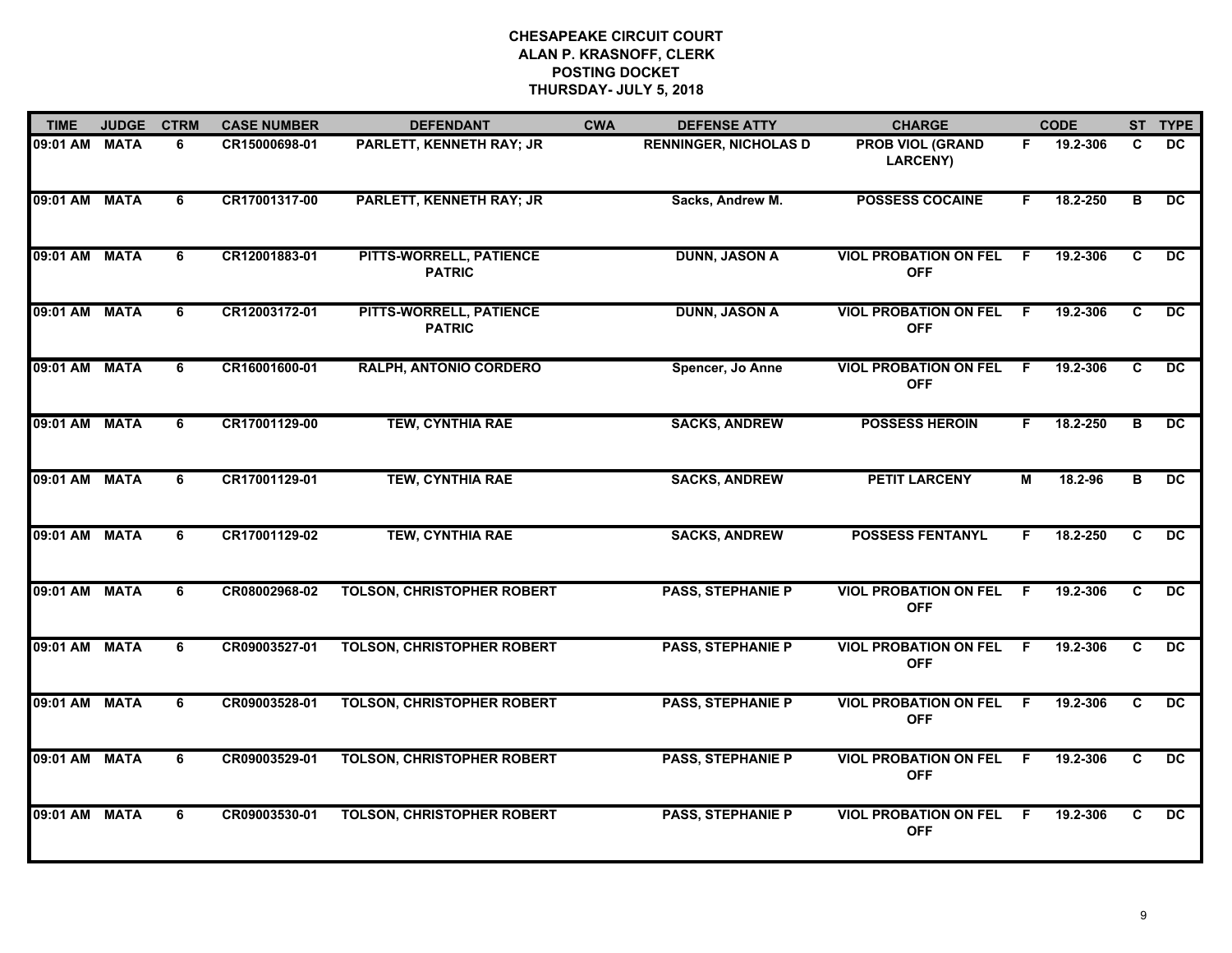| <b>TIME</b>   | <b>JUDGE</b> | <b>CTRM</b> | <b>CASE NUMBER</b> | <b>DEFENDANT</b>                         | <b>CWA</b> | <b>DEFENSE ATTY</b>          | <b>CHARGE</b>                                |     | <b>CODE</b> |                         | ST TYPE         |
|---------------|--------------|-------------|--------------------|------------------------------------------|------------|------------------------------|----------------------------------------------|-----|-------------|-------------------------|-----------------|
| 09:01 AM MATA |              | 6           | CR15000698-01      | PARLETT, KENNETH RAY; JR                 |            | <b>RENNINGER, NICHOLAS D</b> | <b>PROB VIOL (GRAND</b><br>LARCENY)          | F.  | 19.2-306    | C                       | <b>DC</b>       |
| 09:01 AM MATA |              | 6           | CR17001317-00      | <b>PARLETT, KENNETH RAY; JR</b>          |            | Sacks, Andrew M.             | <b>POSSESS COCAINE</b>                       | F.  | 18.2-250    | B                       | DC.             |
| 09:01 AM      | <b>MATA</b>  | 6           | CR12001883-01      | PITTS-WORRELL, PATIENCE<br><b>PATRIC</b> |            | <b>DUNN, JASON A</b>         | <b>VIOL PROBATION ON FEL</b><br><b>OFF</b>   | -F. | 19.2-306    | $\overline{c}$          | $\overline{DC}$ |
| 09:01 AM MATA |              | 6           | CR12003172-01      | PITTS-WORRELL, PATIENCE<br><b>PATRIC</b> |            | <b>DUNN, JASON A</b>         | <b>VIOL PROBATION ON FEL</b><br><b>OFF</b>   | F.  | 19.2-306    | C                       | DC              |
| 09:01 AM MATA |              | 6           | CR16001600-01      | <b>RALPH, ANTONIO CORDERO</b>            |            | Spencer, Jo Anne             | <b>VIOL PROBATION ON FEL</b><br><b>OFF</b>   | -F  | 19.2-306    | C                       | DC              |
| 09:01 AM MATA |              | 6           | CR17001129-00      | <b>TEW, CYNTHIA RAE</b>                  |            | <b>SACKS, ANDREW</b>         | <b>POSSESS HEROIN</b>                        | F.  | 18.2-250    | в                       | DC              |
| 09:01 AM MATA |              | 6           | CR17001129-01      | <b>TEW, CYNTHIA RAE</b>                  |            | <b>SACKS, ANDREW</b>         | <b>PETIT LARCENY</b>                         | М   | 18.2-96     | B                       | DC              |
| 09:01 AM MATA |              | 6           | CR17001129-02      | <b>TEW, CYNTHIA RAE</b>                  |            | <b>SACKS, ANDREW</b>         | <b>POSSESS FENTANYL</b>                      | F   | 18.2-250    | C                       | DC              |
| 09:01 AM MATA |              | 6           | CR08002968-02      | <b>TOLSON, CHRISTOPHER ROBERT</b>        |            | <b>PASS, STEPHANIE P</b>     | <b>VIOL PROBATION ON FEL</b><br><b>OFF</b>   | -F  | 19.2-306    | C                       | $\overline{DC}$ |
| 09:01 AM MATA |              | 6           | CR09003527-01      | <b>TOLSON, CHRISTOPHER ROBERT</b>        |            | <b>PASS, STEPHANIE P</b>     | <b>VIOL PROBATION ON FEL</b><br><b>OFF</b>   | -F  | 19.2-306    | C                       | $\overline{DC}$ |
| 09:01 AM MATA |              | 6           | CR09003528-01      | <b>TOLSON, CHRISTOPHER ROBERT</b>        |            | <b>PASS, STEPHANIE P</b>     | <b>VIOL PROBATION ON FEL F</b><br><b>OFF</b> |     | 19.2-306    | C                       | DC.             |
| 09:01 AM      | <b>MATA</b>  | 6           | CR09003529-01      | <b>TOLSON, CHRISTOPHER ROBERT</b>        |            | <b>PASS, STEPHANIE P</b>     | <b>VIOL PROBATION ON FEL</b><br><b>OFF</b>   | -F  | 19.2-306    | $\overline{\mathbf{c}}$ | $\overline{DC}$ |
| 09:01 AM MATA |              | 6           | CR09003530-01      | <b>TOLSON, CHRISTOPHER ROBERT</b>        |            | <b>PASS, STEPHANIE P</b>     | <b>VIOL PROBATION ON FEL</b><br><b>OFF</b>   | E   | 19.2-306    | $\mathbf{C}$            | <b>DC</b>       |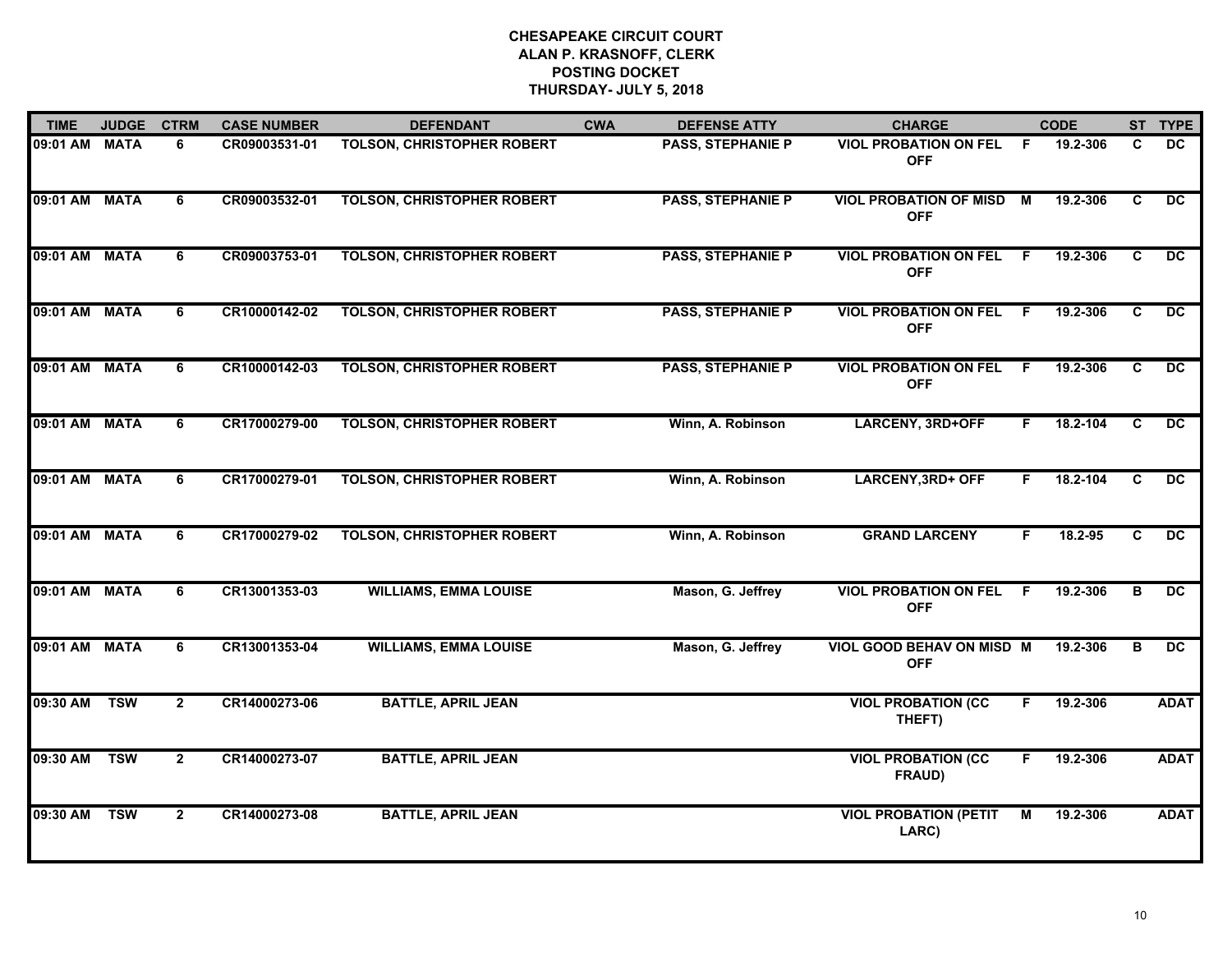| <b>TIME</b>   | <b>JUDGE</b> | <b>CTRM</b>    | <b>CASE NUMBER</b> | <b>DEFENDANT</b>                  | <b>CWA</b> | <b>DEFENSE ATTY</b>      | <b>CHARGE</b>                                  |    | <b>CODE</b> |   | ST TYPE         |
|---------------|--------------|----------------|--------------------|-----------------------------------|------------|--------------------------|------------------------------------------------|----|-------------|---|-----------------|
| 09:01 AM MATA |              | 6              | CR09003531-01      | <b>TOLSON, CHRISTOPHER ROBERT</b> |            | <b>PASS, STEPHANIE P</b> | <b>VIOL PROBATION ON FEL</b><br><b>OFF</b>     | -F | 19.2-306    | C | DC.             |
| 09:01 AM MATA |              | 6              | CR09003532-01      | <b>TOLSON, CHRISTOPHER ROBERT</b> |            | <b>PASS, STEPHANIE P</b> | <b>VIOL PROBATION OF MISD M</b><br><b>OFF</b>  |    | 19.2-306    | C | DC              |
| 09:01 AM      | <b>MATA</b>  | 6              | CR09003753-01      | <b>TOLSON, CHRISTOPHER ROBERT</b> |            | <b>PASS, STEPHANIE P</b> | <b>VIOL PROBATION ON FEL</b><br><b>OFF</b>     | F. | 19.2-306    | C | $\overline{DC}$ |
| 09:01 AM MATA |              | 6              | CR10000142-02      | <b>TOLSON, CHRISTOPHER ROBERT</b> |            | <b>PASS, STEPHANIE P</b> | <b>VIOL PROBATION ON FEL</b><br><b>OFF</b>     | F. | 19.2-306    | C | DC.             |
| 09:01 AM MATA |              | 6              | CR10000142-03      | <b>TOLSON, CHRISTOPHER ROBERT</b> |            | <b>PASS, STEPHANIE P</b> | <b>VIOL PROBATION ON FEL</b><br><b>OFF</b>     | F. | 19.2-306    | C | $\overline{DC}$ |
| 09:01 AM MATA |              | 6              | CR17000279-00      | <b>TOLSON, CHRISTOPHER ROBERT</b> |            | Winn, A. Robinson        | <b>LARCENY, 3RD+OFF</b>                        | F. | 18.2-104    | C | DC.             |
| 09:01 AM MATA |              | 6              | CR17000279-01      | <b>TOLSON, CHRISTOPHER ROBERT</b> |            | Winn, A. Robinson        | <b>LARCENY, 3RD+ OFF</b>                       | F  | 18.2-104    | C | DC              |
| 09:01 AM MATA |              | 6              | CR17000279-02      | <b>TOLSON, CHRISTOPHER ROBERT</b> |            | Winn, A. Robinson        | <b>GRAND LARCENY</b>                           | F  | 18.2-95     | C | $\overline{DC}$ |
| 09:01 AM MATA |              | 6              | CR13001353-03      | <b>WILLIAMS, EMMA LOUISE</b>      |            | Mason, G. Jeffrey        | <b>VIOL PROBATION ON FEL</b><br><b>OFF</b>     | -F | 19.2-306    | в | DC              |
| 09:01 AM      | <b>MATA</b>  | 6              | CR13001353-04      | <b>WILLIAMS, EMMA LOUISE</b>      |            | Mason, G. Jeffrey        | <b>VIOL GOOD BEHAV ON MISD M</b><br><b>OFF</b> |    | 19.2-306    | в | <b>DC</b>       |
| 09:30 AM      | <b>TSW</b>   | $\mathbf{2}$   | CR14000273-06      | <b>BATTLE, APRIL JEAN</b>         |            |                          | <b>VIOL PROBATION (CC</b><br>THEFT)            | F. | 19.2-306    |   | <b>ADAT</b>     |
| 09:30 AM      | <b>TSW</b>   | $\overline{2}$ | CR14000273-07      | <b>BATTLE, APRIL JEAN</b>         |            |                          | <b>VIOL PROBATION (CC</b><br>FRAUD)            | F  | 19.2-306    |   | <b>ADAT</b>     |
| 09:30 AM      | <b>TSW</b>   | $\overline{2}$ | CR14000273-08      | <b>BATTLE, APRIL JEAN</b>         |            |                          | <b>VIOL PROBATION (PETIT</b><br>LARC)          | М  | 19.2-306    |   | <b>ADAT</b>     |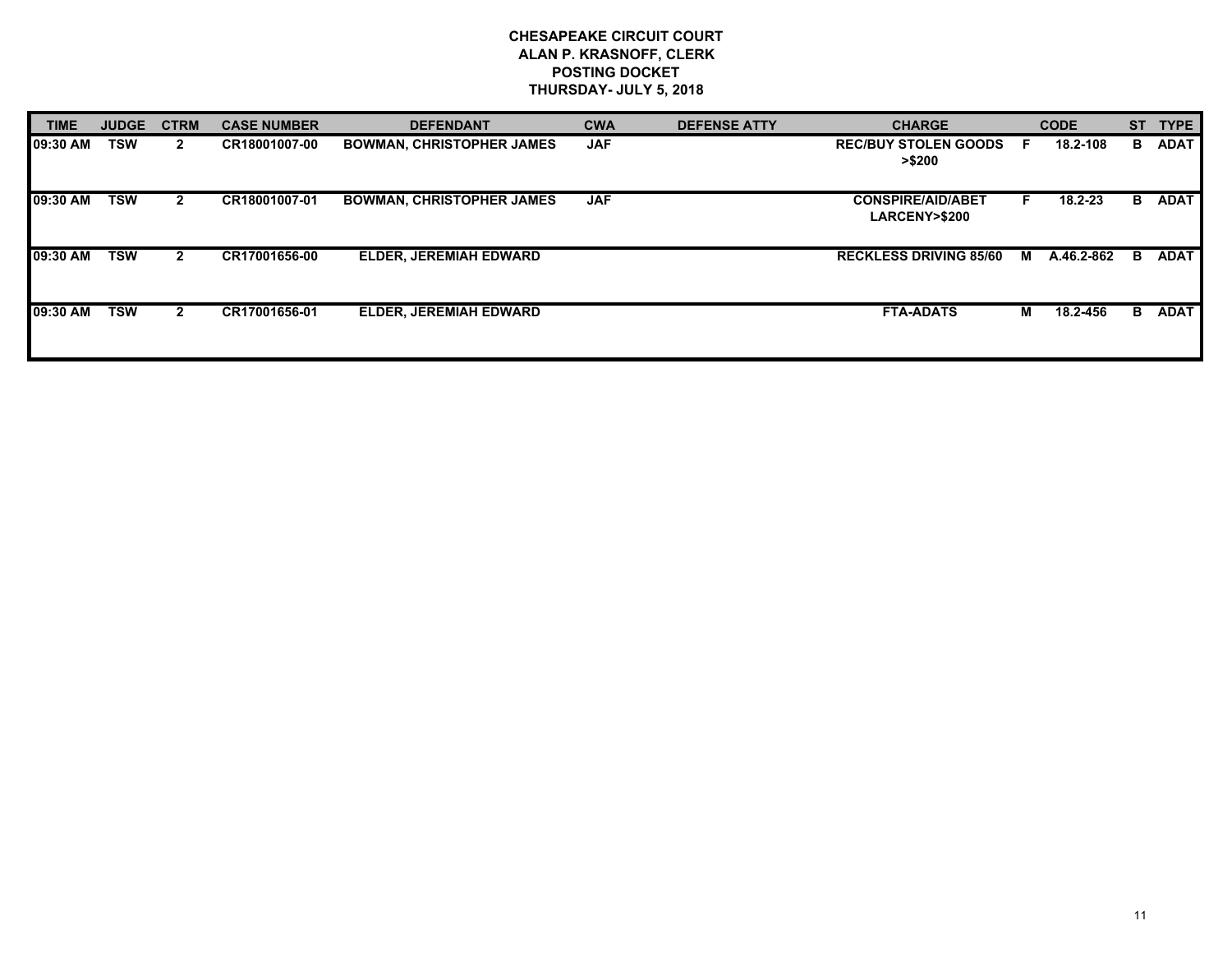| <b>TIME</b> | <b>JUDGE</b> | <b>CTRM</b>    | <b>CASE NUMBER</b> | <b>DEFENDANT</b>                 | <b>CWA</b> | <b>DEFENSE ATTY</b> | <b>CHARGE</b>                                       |   | <b>CODE</b> |    | ST TYPE     |
|-------------|--------------|----------------|--------------------|----------------------------------|------------|---------------------|-----------------------------------------------------|---|-------------|----|-------------|
| 09:30 AM    | <b>TSW</b>   | $\mathbf{2}$   | CR18001007-00      | <b>BOWMAN, CHRISTOPHER JAMES</b> | <b>JAF</b> |                     | <b>REC/BUY STOLEN GOODS</b><br>> \$200              | F | 18.2-108    | в. | <b>ADAT</b> |
| 09:30 AM    | <b>TSW</b>   | $\mathbf{2}$   | CR18001007-01      | <b>BOWMAN, CHRISTOPHER JAMES</b> | <b>JAF</b> |                     | <b>CONSPIRE/AID/ABET</b><br><b>LARCENY&gt;\$200</b> |   | 18.2-23     | в  | <b>ADAT</b> |
| 09:30 AM    | TSW          | $\mathbf{2}$   | CR17001656-00      | <b>ELDER, JEREMIAH EDWARD</b>    |            |                     | <b>RECKLESS DRIVING 85/60</b>                       | M | A.46.2-862  | в  | <b>ADAT</b> |
| 09:30 AM    | <b>TSW</b>   | $\overline{2}$ | CR17001656-01      | <b>ELDER, JEREMIAH EDWARD</b>    |            |                     | <b>FTA-ADATS</b>                                    | м | 18.2-456    | В. | <b>ADAT</b> |